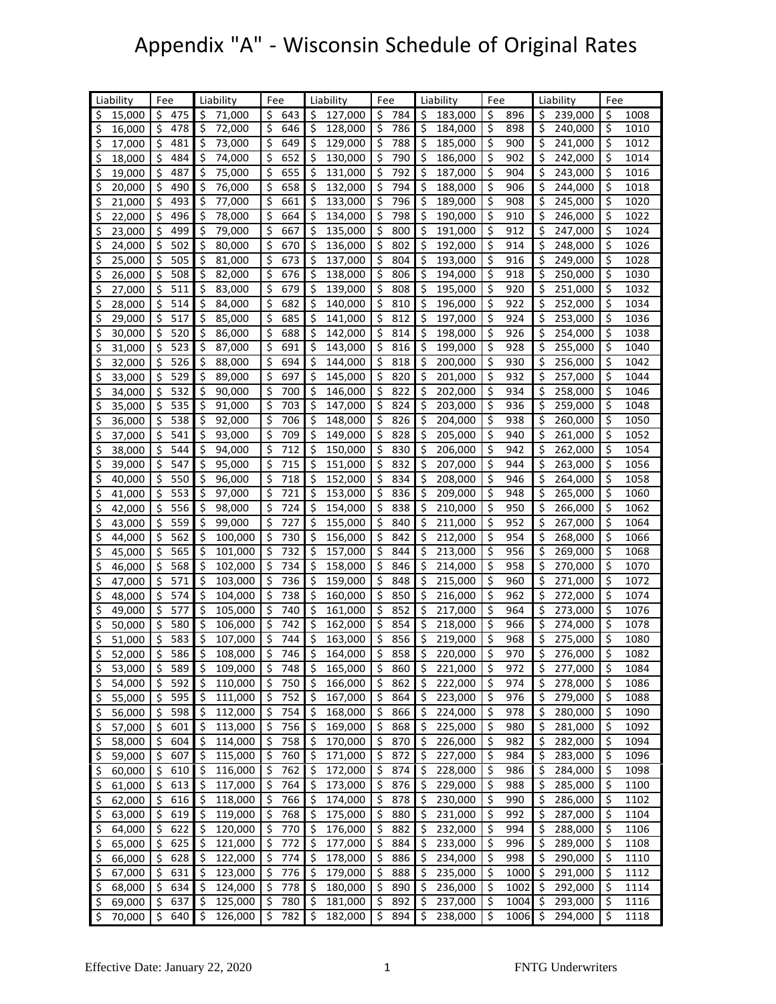| Liability                 |        | Fee                            | Liability                |         | Fee |     | Liability |         | Fee     |     | Liability |         | Fee                      |         | Liability |         | Fee |      |
|---------------------------|--------|--------------------------------|--------------------------|---------|-----|-----|-----------|---------|---------|-----|-----------|---------|--------------------------|---------|-----------|---------|-----|------|
| \$                        | 15,000 | Ś.<br>475                      | Ś                        | 71,000  | \$  | 643 | \$        | 127,000 | \$      | 784 | \$        | 183,000 | \$                       | 896     | Ś         | 239,000 | \$  | 1008 |
| \$                        | 16,000 | Ś<br>478                       | Ś.                       | 72,000  | Ś.  | 646 | \$        | 128,000 | \$      | 786 | Ś         | 184,000 | \$                       | 898     | Ś         | 240.000 | \$  | 1010 |
| \$                        | 17,000 | \$<br>481                      | \$                       | 73,000  | \$  | 649 | \$        | 129,000 | \$      | 788 | \$        | 185,000 | \$                       | 900     | \$        | 241,000 | \$  | 1012 |
| \$                        | 18,000 | \$<br>484                      | \$                       | 74,000  | \$  | 652 | \$        | 130,000 | \$      | 790 | \$        | 186,000 | \$                       | 902     | \$        | 242,000 | \$  | 1014 |
| \$                        | 19,000 | \$<br>487                      | \$                       | 75,000  | Ś.  | 655 | \$        | 131,000 | \$      | 792 | \$        | 187,000 | \$                       | 904     | \$        | 243,000 | \$  | 1016 |
| \$                        | 20,000 | \$<br>490                      | \$                       | 76,000  | \$  | 658 | \$        | 132,000 | \$      | 794 | \$        | 188,000 | \$                       | 906     | \$        | 244,000 | \$  | 1018 |
| \$                        | 21,000 | \$<br>493                      | \$                       | 77,000  | \$  | 661 | \$        | 133,000 | \$      | 796 | \$        | 189,000 | $\varsigma$              | 908     | \$        | 245,000 | \$  | 1020 |
| \$                        | 22,000 | \$<br>496                      | \$                       | 78,000  | \$  | 664 | \$        | 134,000 | \$      | 798 | \$        | 190,000 | \$                       | 910     | \$        | 246,000 | \$  | 1022 |
| \$                        | 23,000 | \$<br>499                      | \$                       | 79,000  | \$  | 667 | \$        | 135,000 | \$      | 800 | \$        | 191,000 | \$                       | 912     | \$        | 247,000 | \$  | 1024 |
| \$                        | 24,000 | \$<br>502                      | \$                       | 80,000  | \$  | 670 | \$        | 136,000 | \$      | 802 | \$        | 192,000 | \$                       | 914     | \$        | 248,000 | \$  | 1026 |
| \$                        | 25,000 | \$<br>505                      | $\overline{\mathcal{S}}$ | 81,000  | \$  | 673 | \$        | 137,000 | \$      | 804 | \$        | 193,000 | \$                       | 916     | \$        | 249,000 | \$  | 1028 |
| \$                        | 26,000 | \$<br>508                      | \$                       | 82,000  | \$  | 676 | \$        | 138,000 | \$      | 806 | \$        | 194,000 | $\zeta$                  | 918     | Ś.        | 250,000 | \$  | 1030 |
| \$                        | 27,000 | \$<br>511                      | \$                       | 83,000  | Ś.  | 679 | \$        | 139,000 | Ś.      | 808 | \$        | 195,000 | \$                       | 920     | \$        | 251,000 | \$  | 1032 |
| \$                        | 28,000 | Ś<br>514                       | \$                       | 84,000  | Ś.  | 682 | \$        | 140,000 | \$      | 810 | \$        | 196,000 | \$                       | 922     | \$        | 252,000 | \$  | 1034 |
| \$                        | 29,000 | Ś<br>517                       | \$                       | 85,000  | \$  | 685 | \$        | 141,000 | \$      | 812 | \$        | 197,000 | \$                       | 924     | \$        | 253,000 | \$  | 1036 |
| \$                        | 30,000 | \$<br>520                      | \$                       | 86,000  | \$  | 688 | \$        | 142,000 | \$      | 814 | \$        | 198,000 | \$                       | 926     | \$        | 254,000 | \$  | 1038 |
| \$                        | 31,000 | \$<br>523                      | \$                       | 87,000  | \$  | 691 | \$        | 143,000 | \$      | 816 | \$        | 199,000 | \$                       | 928     | \$        | 255,000 | \$  | 1040 |
| \$                        | 32,000 | 526<br>Ś                       | \$                       | 88,000  | \$  | 694 | \$        | 144,000 | \$      | 818 | \$        | 200,000 | \$                       | 930     | \$        | 256,000 | \$  | 1042 |
| \$                        | 33,000 | 529<br>\$                      | \$                       | 89,000  | \$  | 697 | \$        | 145,000 | \$      | 820 | \$        | 201,000 | \$                       | 932     | \$        | 257,000 | \$  | 1044 |
| \$                        | 34,000 | \$<br>532                      | \$                       | 90,000  | \$  | 700 | \$        | 146,000 | \$      | 822 | \$        | 202,000 | \$                       | 934     | \$        | 258,000 | \$  | 1046 |
| \$                        | 35,000 | 535<br>Ś                       | \$                       | 91,000  | \$  | 703 | \$        | 147,000 | \$      | 824 | \$        | 203,000 | \$                       | 936     | \$        | 259,000 | \$  | 1048 |
| \$                        | 36,000 | Ś<br>538                       | \$                       | 92,000  | \$  | 706 | \$        | 148,000 | \$      | 826 | \$        | 204,000 | \$                       | 938     | \$        | 260,000 | \$  | 1050 |
| \$                        | 37,000 | \$<br>541                      | \$                       | 93,000  | \$  | 709 | \$        | 149,000 | \$      | 828 | \$        | 205,000 | \$                       | 940     | \$        | 261,000 | \$  | 1052 |
| \$                        | 38,000 | \$<br>544                      | \$                       | 94,000  | Ś.  | 712 | \$        | 150,000 | \$      | 830 | \$        | 206,000 | \$                       | 942     | Ś.        | 262,000 | \$  | 1054 |
| \$                        | 39,000 | Ś.<br>547                      | \$                       | 95,000  | Ś.  | 715 | \$        | 151,000 | Ś.      | 832 | \$        | 207,000 | \$                       | 944     | \$        | 263,000 | \$  | 1056 |
| \$                        | 40,000 | \$<br>550                      | \$                       | 96,000  | Ś   | 718 | \$        | 152,000 | \$      | 834 | \$        | 208,000 | \$                       | 946     | \$        | 264,000 | \$  | 1058 |
| \$                        | 41,000 | 553<br>\$                      | \$                       | 97,000  | \$  | 721 | \$        | 153,000 | \$      | 836 | \$        | 209,000 | \$                       | 948     | \$        | 265,000 | \$  | 1060 |
| \$                        | 42,000 | Ś<br>556                       | \$                       | 98,000  | \$  | 724 | \$        | 154,000 | \$      | 838 | \$        | 210,000 | \$                       | 950     | \$        | 266,000 | \$  | 1062 |
| \$                        | 43,000 | \$<br>559                      | \$                       | 99,000  | \$  | 727 | \$        | 155,000 | \$      | 840 | \$        | 211,000 | \$                       | 952     | \$        | 267,000 | \$  | 1064 |
| \$                        | 44,000 | \$<br>562                      | \$                       | 100,000 | \$  | 730 | \$        | 156,000 | \$      | 842 | \$        | 212,000 | \$                       | 954     | \$        | 268,000 | \$  | 1066 |
| \$                        | 45,000 | \$<br>565                      | \$                       | 101,000 | \$  | 732 | \$        | 157,000 | \$      | 844 | \$        | 213,000 | \$                       | 956     | \$        | 269,000 | \$  | 1068 |
| \$                        | 46,000 | \$<br>568                      | $\zeta$                  | 102,000 | \$  | 734 | \$        | 158,000 | \$      | 846 | \$        | 214,000 | $\varsigma$              | 958     | \$        | 270,000 | \$  | 1070 |
| \$                        | 47,000 | \$<br>571                      | \$                       | 103,000 | \$  | 736 | \$        | 159,000 | \$      | 848 | \$        | 215,000 | $\overline{\mathcal{S}}$ | 960     | \$        | 271,000 | \$  | 1072 |
| \$                        | 48,000 | \$<br>574                      | \$                       | 104,000 | \$  | 738 | \$        | 160,000 | \$      | 850 | \$        | 216,000 | \$                       | 962     | \$        | 272,000 | \$  | 1074 |
| \$                        | 49,000 | \$<br>577                      | $\overline{\mathcal{S}}$ | 105,000 | Ś   | 740 | \$        | 161,000 | \$      | 852 | \$        | 217,000 | \$                       | 964     | \$        | 273,000 | \$  | 1076 |
| \$                        | 50,000 | \$<br>580                      | \$                       | 106,000 | Ś.  | 742 | \$        | 162,000 | \$      | 854 | \$        | 218,000 | \$                       | 966     | \$        | 274,000 | \$  | 1078 |
| \$                        | 51,000 | \$<br>583                      | $\zeta$                  | 107,000 | \$  | 744 | \$        | 163,000 | \$      | 856 | \$        | 219,000 | \$                       | 968     | \$        | 275,000 | \$  | 1080 |
| $\overline{\mathsf{s}}$   | 52.000 | Ś<br>586                       | $\mathsf{\hat{S}}$       | 108.000 | Ś.  | 746 | \$        | 164.000 | Ś.      | 858 | Ś         | 220,000 | \$                       | 970     | \$        | 276.000 | Ś   | 1082 |
| \$                        | 53,000 | \$<br>589                      | $\zeta$                  | 109,000 | \$  | 748 | \$        | 165,000 | \$      | 860 | \$        | 221,000 | \$                       | 972     | \$        | 277,000 | \$  | 1084 |
| \$                        | 54,000 | \$<br>592                      | \$                       | 110,000 | \$  | 750 | \$        | 166,000 | \$      | 862 | \$        | 222,000 | \$                       | 974     | \$        | 278,000 | \$  | 1086 |
| \$                        | 55,000 | \$<br>595                      | $\zeta$                  | 111,000 | \$  | 752 | \$        | 167,000 | \$      | 864 | \$        | 223,000 | \$                       | 976     | \$        | 279,000 | \$  | 1088 |
| \$                        | 56,000 | \$<br>598                      | \$                       | 112,000 | \$  | 754 | \$        | 168,000 | \$      | 866 | \$        | 224,000 | \$                       | 978     | \$        | 280,000 | \$  | 1090 |
| $\boldsymbol{\mathsf{S}}$ | 57,000 | \$<br>601                      | \$                       | 113,000 | \$  | 756 | \$        | 169,000 | \$      | 868 | \$        | 225,000 | \$                       | 980     | \$        | 281,000 | \$  | 1092 |
| \$                        | 58,000 | \$<br>604                      | $\zeta$                  | 114,000 | \$  | 758 | \$        | 170,000 | \$      | 870 | \$        | 226,000 | $\varsigma$              | 982     | \$        | 282,000 | \$  | 1094 |
| \$                        | 59,000 | \$<br>607                      | $\zeta$                  | 115,000 | \$  | 760 | \$        | 171,000 | \$      | 872 | \$        | 227,000 | \$                       | 984     | \$        | 283,000 | \$  | 1096 |
| \$                        | 60,000 | \$<br>610                      | \$                       | 116,000 | \$  | 762 | \$        | 172,000 | \$      | 874 | \$        | 228,000 | \$                       | 986     | \$        | 284,000 | \$  | 1098 |
| \$                        | 61,000 | $\overline{\xi}$<br>613        | \$                       | 117,000 | \$  | 764 | \$        | 173,000 | \$      | 876 | \$        | 229,000 | $\varsigma$              | 988     | \$        | 285,000 | \$  | 1100 |
| \$                        | 62,000 | $\overline{\mathsf{S}}$<br>616 | \$                       | 118,000 | \$  | 766 | \$        | 174,000 | \$      | 878 | \$        | 230,000 | \$                       | 990     | \$        | 286,000 | \$  | 1102 |
| \$                        | 63,000 | \$<br>619                      | $\zeta$                  | 119,000 | \$  | 768 | \$        | 175,000 | ऽ       | 880 | \$        | 231,000 | $\overline{\mathcal{S}}$ | 992     | \$        | 287,000 | \$  | 1104 |
| \$                        | 64,000 | \$<br>622                      | $\zeta$                  | 120,000 | \$  | 770 | \$        | 176,000 | \$      | 882 | \$        | 232,000 | \$                       | 994     | Ś.        | 288,000 | \$  | 1106 |
| \$                        | 65,000 | \$<br>625                      | $\zeta$                  | 121,000 | \$  | 772 | \$        | 177,000 | \$      | 884 | \$        | 233,000 | \$                       | 996     | \$        | 289,000 | \$  | 1108 |
| \$                        | 66,000 | \$<br>628                      | \$                       | 122,000 | \$  | 774 | \$        | 178,000 | \$      | 886 | \$        | 234,000 | \$                       | 998     | \$        | 290,000 | \$  | 1110 |
| $\varsigma$               | 67,000 | \$<br>631                      | \$                       | 123,000 | \$  | 776 | \$        | 179,000 | \$      | 888 | \$        | 235,000 | \$                       | 1000    | \$        | 291,000 | \$  | 1112 |
| \$                        | 68,000 | 634<br>\$                      | \$                       | 124,000 | \$  | 778 | \$        | 180,000 | \$      | 890 | \$        | 236,000 | \$                       | 1002    | \$        | 292,000 | \$  | 1114 |
| \$                        | 69,000 | \$<br>637                      | \$                       | 125,000 | \$  | 780 | \$        | 181,000 | \$      | 892 | \$        | 237,000 | \$                       | 1004    | \$        | 293,000 | \$  | 1116 |
| \$                        | 70,000 | \$<br>640                      | -\$                      | 126,000 | \$  | 782 | \$        | 182,000 | $\zeta$ | 894 | $\zeta$   | 238,000 | \$                       | 1006 \$ |           | 294,000 | \$  | 1118 |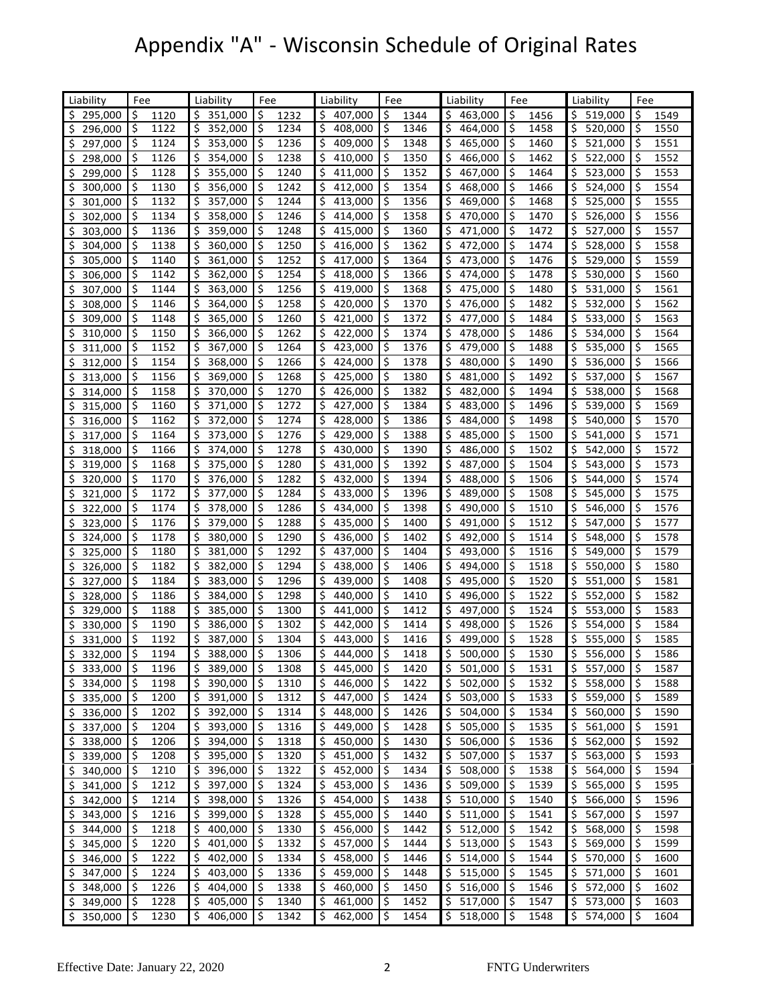| Liability           | Fee             | Liability     | Fee          | Liability             | Fee         | Liability              | Fee         | Liability              | Fee                 |
|---------------------|-----------------|---------------|--------------|-----------------------|-------------|------------------------|-------------|------------------------|---------------------|
| \$295,000           | \$              | Ś.            | \$           | Ś.                    | \$          | Ś                      | \$          | Ś.                     | \$                  |
|                     | 1120            | 351,000       | 1232         | 407,000               | 1344        | 463,000                | 1456        | 519,000                | 1549                |
| \$                  | \$              | \$            | \$           | \$                    | \$          | \$                     | \$          | \$                     | \$                  |
| 296,000             | 1122            | 352,000       | 1234         | 408,000               | 1346        | 464,000                | 1458        | 520,000                | 1550                |
| \$                  | \$              | \$            | \$           | \$                    | \$          | \$                     | \$          | \$                     | \$                  |
| 297,000             | 1124            | 353,000       | 1236         | 409,000               | 1348        | 465,000                | 1460        | 521,000                | 1551                |
| \$                  | \$              | \$            | \$           | \$                    | \$          | \$                     | \$          | \$                     | \$                  |
| 298,000             | 1126            | 354,000       | 1238         | 410,000               | 1350        | 466,000                | 1462        | 522,000                | 1552                |
| \$299,000           | \$              | \$            | 1240         | \$                    | \$          | \$                     | \$          | \$                     | \$                  |
|                     | 1128            | 355,000       | \$           | 411,000               | 1352        | 467,000                | 1464        | 523,000                | 1553                |
| \$                  | \$              | \$            | \$           | \$                    | \$          | \$                     | \$          | \$                     | \$                  |
| 300,000             | 1130            | 356,000       | 1242         | 412,000               | 1354        | 468,000                | 1466        | 524,000                | 1554                |
| \$                  | \$              | \$            | ۱\$          | \$                    | \$          | \$                     | 1468        | \$                     | \$                  |
| 301,000             | 1132            | 357,000       | 1244         | 413,000               | 1356        | 469,000                | \$          | 525,000                | 1555                |
| \$                  | \$              | \$            | 1246         | \$                    | 1358        | \$                     | \$          | \$                     | \$                  |
| 302,000             | 1134            | 358,000       | \$           | 414,000               | \$          | 470,000                | 1470        | 526,000                | 1556                |
| \$                  | \$              | \$            | \$           | \$                    | Ś           | \$                     | Ś           | \$                     | \$                  |
| 303,000             | 1136            | 359,000       | 1248         | 415,000               | 1360        | 471,000                | 1472        | 527,000                | 1557                |
| \$                  | \$              | \$            | \$           | \$                    | Ś           | Ś                      | Ŝ           | \$                     | Ś.                  |
| 304,000             | 1138            | 360,000       | 1250         | 416,000               | 1362        | 472,000                | 1474        | 528,000                | 1558                |
| \$                  | \$              | \$            | 1252         | \$                    | Ś           | Ś                      | Ŝ           | \$                     | Ś.                  |
| 305,000             | 1140            | 361,000       | \$           | 417,000               | 1364        | 473,000                | 1476        | 529,000                | 1559                |
| \$                  | Ś.              | \$            | Š.           | \$                    | Ś.          | Ś                      | Ś           | Ś.                     | Ś.                  |
| 306,000             | 1142            | 362,000       | 1254         | 418,000               | 1366        | 474,000                | 1478        | 530,000                | 1560                |
| \$                  | \$              | \$            | \$.          | \$                    | \$          | Ś                      | \$          | \$                     | \$                  |
| 307,000             | 1144            | 363,000       | 1256         | 419,000               | 1368        | 475,000                | 1480        | 531,000                | 1561                |
| \$                  | \$              | \$            | 1258         | \$                    | \$          | \$                     | \$          | \$                     | \$                  |
| 308,000             | 1146            | 364,000       | \$           | 420,000               | 1370        | 476,000                | 1482        | 532,000                | 1562                |
| \$                  | \$              | \$            | \$           | \$                    | \$          | \$                     | \$          | \$                     | \$                  |
| 309,000             | 1148            | 365,000       | 1260         | 421,000               | 1372        | 477,000                | 1484        | 533,000                | 1563                |
| \$                  | \$              | \$            | \$           | \$                    | \$          | \$                     | \$          | \$                     | \$                  |
| 310,000             | 1150            | 366,000       | 1262         | 422,000               | 1374        | 478,000                | 1486        | 534,000                | 1564                |
| \$311,000           | \$              | \$            | \$           | \$                    | \$          | \$                     | \$          | \$                     | \$                  |
|                     | 1152            | 367,000       | 1264         | 423,000               | 1376        | 479,000                | 1488        | 535,000                | 1565                |
| \$                  | \$              | \$            | \$           | \$                    | \$          | \$                     | \$          | \$                     | \$                  |
| 312,000             | 1154            | 368,000       | 1266         | 424,000               | 1378        | 480,000                | 1490        | 536,000                | 1566                |
| \$                  | \$              | \$            | ¦\$          | \$                    | \$          | \$                     | \$          | \$                     | \$                  |
| 313,000             | 1156            | 369,000       | 1268         | 425,000               | 1380        | 481,000                | 1492        | 537,000                | 1567                |
| \$                  | \$              | \$            | 1270         | \$                    | \$          | \$                     | 1494        | \$                     | \$                  |
| 314,000             | 1158            | 370,000       | \$.          | 426,000               | 1382        | 482,000                | \$.         | 538,000                | 1568                |
| \$                  | \$              | \$            | \$           | \$                    | \$          | \$                     | \$          | \$                     | \$                  |
| 315,000             | 1160            | 371,000       | 1272         | 427,000               | 1384        | 483,000                | 1496        | 539,000                | 1569                |
| \$                  | \$              | \$            | \$           | \$                    | \$          | Ś                      | Ŝ           | \$                     | \$                  |
| 316,000             | 1162            | 372,000       | 1274         | 428,000               | 1386        | 484,000                | 1498        | 540,000                | 1570                |
| \$                  | \$              | \$            | \$           | \$                    | \$          | \$                     | Ŝ           | \$                     | \$                  |
| 317,000             | 1164            | 373,000       | 1276         | 429,000               | 1388        | 485,000                | 1500        | 541,000                | 1571                |
| \$                  | Ś               | \$            | Š.           | \$                    | Ś.          | Ś.                     | Ś           | Ś.                     | Ś                   |
| 318,000             | 1166            | 374,000       | 1278         | 430,000               | 1390        | 486,000                | 1502        | 542,000                | 1572                |
| \$                  | \$              | \$            | \$.          | \$                    | \$          | Ś                      | \$          | \$                     | \$                  |
| 319,000             | 1168            | 375,000       | 1280         | 431,000               | 1392        | 487,000                | 1504        | 543,000                | 1573                |
| \$                  | \$              | \$            | \$           | \$                    | \$          | \$                     | \$          | \$                     | \$                  |
| 320,000             | 1170            | 376,000       | 1282         | 432,000               | 1394        | 488,000                | 1506        | 544,000                | 1574                |
| \$                  | \$              | \$            | \$           | \$                    | \$          | \$                     | \$          | \$                     | \$                  |
| 321,000             | 1172            | 377,000       | 1284         | 433,000               | 1396        | 489,000                | 1508        | 545,000                | 1575                |
| \$                  | \$              | \$            | \$           | \$                    | \$          | \$                     | \$          | \$                     | \$                  |
| 322,000             | 1174            | 378,000       | 1286         | 434,000               | 1398        | 490,000                | 1510        | 546,000                | 1576                |
| \$323,000           | \$              | \$            | \$           | \$                    | \$          | \$                     | \$          | \$                     | \$                  |
|                     | 1176            | 379,000       | 1288         | 435,000               | 1400        | 491,000                | 1512        | 547,000                | 1577                |
| \$324,000           | \$              | \$            | \$           | \$                    | \$          | \$                     | \$          | \$                     | \$                  |
|                     | 1178            | 380,000       | 1290         | 436,000               | 1402        | 492,000                | 1514        | 548,000                | 1578                |
| \$                  | \$              | \$            | 1292         | \$                    | \$          | \$                     | \$          | \$                     | \$                  |
| 325,000             | 1180            | 381,000       | -\$          | 437,000               | 1404        | 493,000                | 1516        | 549,000                | 1579                |
| \$                  | \$              | \$            | 1294         | \$                    | \$          | \$                     | 1518        | \$                     | \$                  |
| 326,000             | 1182            | 382,000       | \$           | 438,000               | 1406        | 494,000                | \$.         | 550,000                | 1580                |
| \$                  | \$              | \$            | 1296         | \$                    | \$          | \$                     | \$          | \$                     | \$                  |
| 327,000             | 1184            | 383,000       | \$           | 439,000               | 1408        | 495,000                | 1520        | 551,000                | 1581                |
| \$                  | \$              | \$            | \$           | \$                    | \$          | Ś                      | Ś           | \$                     | \$                  |
| 328,000             | 1186            | 384,000       | 1298         | 440,000               | 1410        | 496,000                | 1522        | 552,000                | 1582                |
| \$329,000           | \$              | \$            | \$           | \$                    | \$          | \$                     | Ŝ           | \$                     | \$                  |
|                     | 1188            | 385,000       | 1300         | 441,000               | 1412        | 497,000                | 1524        | 553,000                | 1583                |
| \$                  | Ś               | Ś.            | Š.           | Ś.                    | Ś.          | Ś.                     | Ś           | \$                     | Ś                   |
| 330,000             | 1190            | 386,000       | 1302         | 442,000               | 1414        | 498,000                | 1526        | 554,000                | 1584                |
| \$                  | \$              | \$            | \$           | \$                    | Ś.          | Ś                      | Ś           | \$                     | \$                  |
| 331,000             | 1192            | 387,000       | 1304         | 443,000               | 1416        | 499,000                | 1528        | 555,000                | 1585                |
| $\ddot{\mathsf{S}}$ | $\zeta$         | \$            | l \$         | \$                    | Ś.          | Ś                      | Ś           | \$                     | Ś.                  |
| 332,000             | 1194            | 388,000       | 1306         | 444,000               | 1418        | 500,000                | 1530        | 556,000                | 1586                |
| $$333,000$ \$       | 1196            | \$<br>389,000 | ۱\$<br>1308  | \$445,000             | \$<br>1420  | $\overline{5}$ 501,000 | \$<br>1531  | $\frac{1}{5}$ 557,000  | $\varsigma$<br>1587 |
| \$334,000           | \$<br>1198      | \$<br>390,000 | \$<br>1310   | \$<br>446,000         | \$<br>1422  | \$<br>502,000          | \$<br>1532  | \$558,000              | \$<br>1588          |
| \$335,000           | \$<br>1200      | \$<br>391,000 | ۱\$<br>1312  | \$447,000             | \$<br>1424  | 503,000<br>\$          | \$<br>1533  | \$559,000              | \$<br>1589          |
| \$336,000           | 5<br>1202       | \$<br>392,000 | \$<br>1314   | \$<br>448,000         | \$<br>1426  | 504,000<br>\$          | \$<br>1534  | \$560,000              | 1590<br>\$          |
| \$337,000           | \$<br>1204      | \$<br>393,000 | 1316<br>l\$  | \$<br>449,000         | S.<br>1428  | \$<br>505,000          | 1535<br>-\$ | \$561,000              | \$<br>1591          |
| \$338,000           | \$<br>1206      | \$<br>394,000 | 1318<br>\$ ا | \$<br>450,000         | 1430<br>\$  | 506,000<br>\$          | 1536<br>\$, | \$562,000              | 1592<br>\$          |
| \$339,000           | \$<br>1208      | \$<br>395,000 | \$ ا<br>1320 | $\frac{1}{5}$ 451,000 | \$<br>1432  | \$<br>507,000          | \$,<br>1537 | $\overline{5}$ 563,000 | \$<br>1593          |
| \$340,000           | $\zeta$<br>1210 | \$<br>396,000 | \$ ا<br>1322 | \$452,000             | \$<br>1434  | \$<br>508,000          | -\$<br>1538 | \$564,000              | \$<br>1594          |
| \$341,000           | \$<br>1212      | \$397,000     | 1324<br>-\$  | \$453,000             | 1436<br>\$. | 509,000<br>\$          | -\$<br>1539 | \$565,000              | \$<br>1595          |
| \$342,000           | \$<br>1214      | \$<br>398,000 | -\$<br>1326  | $\frac{1}{5}$ 454,000 | \$<br>1438  | \$<br>510,000          | -\$<br>1540 | \$566,000              | 1596<br>\$.         |
| \$343,000           | \$              | \$            | 1328         | \$                    | \$          | \$                     | S.          | \$                     | \$                  |
|                     | 1216            | 399,000       | -\$          | 455,000               | 1440        | 511,000                | 1541        | 567,000                | 1597                |
| \$344,000           | \$<br>1218      | \$<br>400,000 | 1330<br>\$ ا | \$<br>456,000         | \$<br>1442  | \$<br>512,000          | \$<br>1542  | \$568,000              | \$<br>1598          |
| \$345,000           | \$<br>1220      | \$<br>401,000 | \$<br>1332   | \$457,000             | \$<br>1444  | \$<br>513,000          | \$<br>1543  | \$569,000              | \$<br>1599          |
| \$346,000           | \$<br>1222      | \$<br>402,000 | \$<br>1334   | \$458,000             | \$<br>1446  | \$<br>514,000          | \$<br>1544  | \$570,000              | \$<br>1600          |
| \$347,000           | \$<br>1224      | \$<br>403,000 | 1336<br>-\$  | \$459,000             | \$<br>1448  | 515,000<br>\$          | 1545<br>-\$ | \$571,000              | \$<br>1601          |
| \$348,000           | l\$<br>1226     | \$<br>404,000 | 1338<br>l\$  | \$<br>460,000         | \$<br>1450  | 516,000<br>\$          | 1546<br>1\$ | \$572,000              | \$<br>1602          |
| \$349,000           | \$ ا<br>1228    | \$<br>405,000 | 1340<br>l \$ | \$<br>461,000         | \$<br>1452  | \$<br>517,000 \$       | 1547        | \$573,000              | \$<br>1603          |
| \$350,000           | \$<br>1230      | \$<br>406,000 | l \$<br>1342 | \$462,000             | 1454<br>\$. | \$<br>518,000          | Ŝ.<br>1548  | \$574,000              | \$<br>1604          |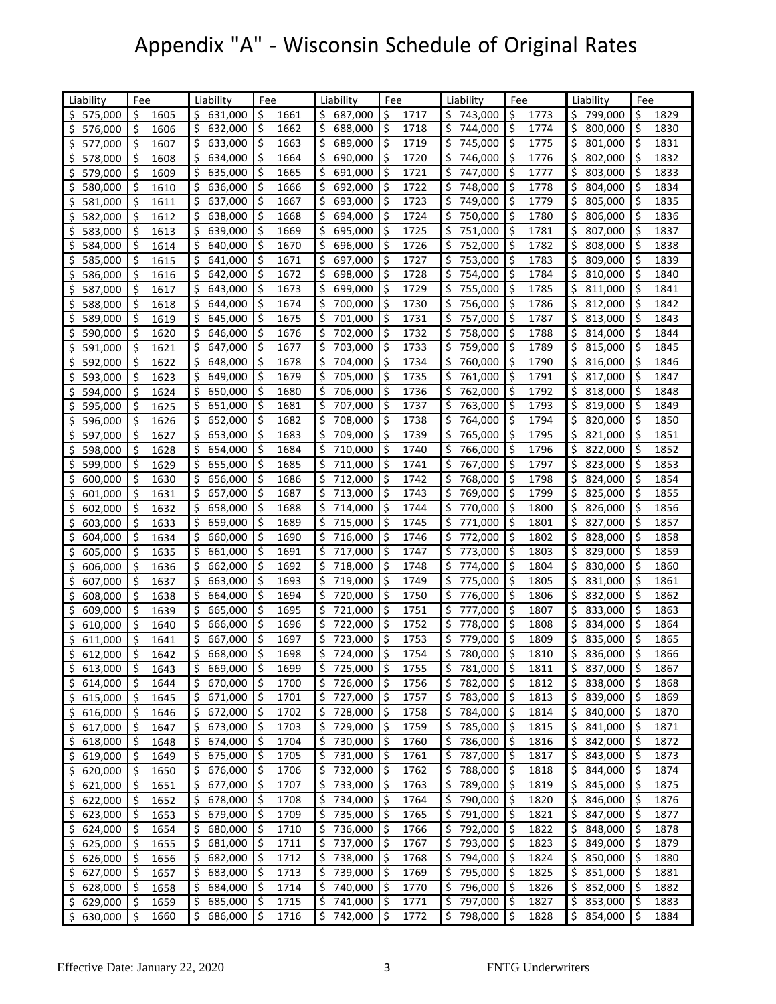| Liability               | Fee                     | Liability     | Fee                         | Liability                | Fee         | Liability        | Fee                | Liability               | Fee                      |
|-------------------------|-------------------------|---------------|-----------------------------|--------------------------|-------------|------------------|--------------------|-------------------------|--------------------------|
| \$575,000               | \$                      | \$            | \$                          | \$                       | \$          | Ś                | \$                 | Ś                       | \$                       |
|                         | 1605                    | 631,000       | 1661                        | 687,000                  | 1717        | 743,000          | 1773               | 799,000                 | 1829                     |
| \$576,000               | \$                      | \$            | ¦\$                         | \$                       | \$          | Ś                | \$                 | \$                      | \$                       |
|                         | 1606                    | 632,000       | 1662                        | 688,000                  | 1718        | 744,000          | 1774               | 800,000                 | 1830                     |
| \$                      | \$                      | \$            | \$                          | \$                       | \$          | \$               | \$                 | \$                      | \$                       |
| 577,000                 | 1607                    | 633,000       | 1663                        | 689,000                  | 1719        | 745,000          | 1775               | 801,000                 | 1831                     |
| \$578,000               | \$                      | \$            | \$                          | \$                       | \$          | \$               | \$                 | \$                      | \$                       |
|                         | 1608                    | 634,000       | 1664                        | 690,000                  | 1720        | 746,000          | 1776               | 802,000                 | 1832                     |
| \$579,000               | \$                      | \$            | \$                          | \$                       | \$          | \$               | \$                 | \$                      | \$                       |
|                         | 1609                    | 635,000       | 1665                        | 691,000                  | 1721        | 747,000          | 1777               | 803,000                 | 1833                     |
| \$580,000               | Ś                       | \$            | \$                          | \$                       | \$          | \$               | \$                 | \$                      | \$                       |
|                         | 1610                    | 636,000       | 1666                        | 692,000                  | 1722        | 748,000          | 1778               | 804,000                 | 1834                     |
| \$                      | \$                      | \$            | \$                          | \$                       | \$          | \$               | \$                 | \$                      | \$                       |
| 581,000                 | 1611                    | 637,000       | 1667                        | 693,000                  | 1723        | 749,000          | 1779               | 805,000                 | 1835                     |
| \$                      | \$                      | \$            | \$                          | \$                       | \$          | \$               | \$                 | \$                      | \$                       |
| 582,000                 | 1612                    | 638,000       | 1668                        | 694,000                  | 1724        | 750,000          | 1780               | 806,000                 | 1836                     |
| \$                      | \$                      | \$            | \$                          | \$                       | \$          | \$               | \$                 | \$                      | \$                       |
| 583,000                 | 1613                    | 639,000       | 1669                        | 695,000                  | 1725        | 751,000          | 1781               | 807,000                 | 1837                     |
| \$                      | $\zeta$                 | \$            | \$                          | \$                       | \$          | \$               | Ś                  | \$                      | \$                       |
| 584,000                 | 1614                    | 640,000       | 1670                        | 696,000                  | 1726        | 752,000          | 1782               | 808,000                 | 1838                     |
| \$                      | Ś                       | \$            | \$                          | \$                       | \$          | Ś                | Ś                  | \$                      | Ś.                       |
| 585,000                 | 1615                    | 641,000       | 1671                        | 697,000                  | 1727        | 753,000          | 1783               | 809,000                 | 1839                     |
| \$                      | Ś.                      | \$            | \$                          | \$                       | Ś.          | Ś                | Ś                  | \$                      | Ś.                       |
| 586,000                 | 1616                    | 642,000       | 1672                        | 698,000                  | 1728        | 754,000          | 1784               | 810,000                 | 1840                     |
| \$                      | Ś                       | \$            | \$.                         | \$                       | Ŝ.          | Ś                | Ś                  | Ś.                      | Ś.                       |
| 587,000                 | 1617                    | 643,000       | 1673                        | 699,000                  | 1729        | 755,000          | 1785               | 811,000                 | 1841                     |
| \$                      | Ś.                      | \$            | \$.                         | \$                       | \$          | Ś                | \$                 | \$                      | \$                       |
| 588,000                 | 1618                    | 644,000       | 1674                        | 700,000                  | 1730        | 756,000          | 1786               | 812,000                 | 1842                     |
| \$                      | \$                      | \$            | \$                          | \$                       | \$          | \$               | \$                 | \$                      | \$                       |
| 589,000                 | 1619                    | 645,000       | 1675                        | 701,000                  | 1731        | 757,000          | 1787               | 813,000                 | 1843                     |
| \$                      | \$                      | \$            | \$                          | \$                       | \$          | \$               | \$                 | \$                      | \$                       |
| 590,000                 | 1620                    | 646,000       | 1676                        | 702,000                  | 1732        | 758,000          | 1788               | 814,000                 | 1844                     |
| \$                      | \$                      | \$            | \$                          | \$                       | \$          | \$               | \$                 | \$                      | \$                       |
| 591,000                 | 1621                    | 647,000       | 1677                        | 703,000                  | 1733        | 759,000          | 1789               | 815,000                 | 1845                     |
| \$592,000               | \$.                     | \$            | \$                          | \$                       | \$          | \$               | \$                 | \$                      | \$                       |
|                         | 1622                    | 648,000       | 1678                        | 704,000                  | 1734        | 760,000          | 1790               | 816,000                 | 1846                     |
| \$                      | \$                      | \$            | \$                          | \$                       | \$          | \$               | \$                 | \$                      | \$                       |
| 593,000                 | 1623                    | 649,000       | 1679                        | 705,000                  | 1735        | 761,000          | 1791               | 817,000                 | 1847                     |
| \$                      | \$                      | \$            | \$                          | \$                       | \$          | \$               | \$                 | \$                      | \$                       |
| 594,000                 | 1624                    | 650,000       | 1680                        | 706,000                  | 1736        | 762,000          | 1792               | 818,000                 | 1848                     |
| \$                      | \$                      | \$            | 1681                        | \$                       | \$          | \$               | \$                 | \$                      | \$                       |
| 595,000                 | 1625                    | 651,000       | \$                          | 707,000                  | 1737        | 763,000          | 1793               | 819,000                 | 1849                     |
| \$                      | \$                      | \$            | \$                          | \$                       | \$          | \$               | \$                 | \$                      | \$                       |
| 596,000                 | 1626                    | 652,000       | 1682                        | 708,000                  | 1738        | 764,000          | 1794               | 820,000                 | 1850                     |
| \$                      | \$                      | \$            | \$                          | \$                       | \$          | Ś                | Ś                  | \$                      | Ś.                       |
| 597,000                 | 1627                    | 653,000       | 1683                        | 709,000                  | 1739        | 765,000          | 1795               | 821,000                 | 1851                     |
| \$                      | Ś.                      | \$            | \$                          | \$                       | \$          | Ś                | Ś                  | \$                      | Ś.                       |
| 598,000                 | 1628                    | 654,000       | 1684                        | 710,000                  | 1740        | 766,000          | 1796               | 822,000                 | 1852                     |
| \$                      | Ś                       | \$            | \$.                         | \$                       | Ś.          | Ś                | \$                 | Ś.                      | Ś.                       |
| 599,000                 | 1629                    | 655,000       | 1685                        | 711,000                  | 1741        | 767,000          | 1797               | 823,000                 | 1853                     |
| \$                      | \$                      | \$            | \$.                         | \$                       | \$          | Ś                | \$                 | \$                      | \$                       |
| 600,000                 | 1630                    | 656,000       | 1686                        | 712,000                  | 1742        | 768,000          | 1798               | 824,000                 | 1854                     |
| \$                      | \$                      | \$            | \$                          | \$                       | \$          | \$               | \$                 | \$                      | \$                       |
| 601,000                 | 1631                    | 657,000       | 1687                        | 713,000                  | 1743        | 769,000          | 1799               | 825,000                 | 1855                     |
| \$                      | \$                      | \$            | \$                          | \$                       | \$          | \$               | \$                 | \$                      | \$                       |
| 602,000                 | 1632                    | 658,000       | 1688                        | 714,000                  | 1744        | 770,000          | 1800               | 826,000                 | 1856                     |
| \$                      | \$                      | \$            | \$                          | \$                       | \$          | \$               | \$                 | \$                      | \$                       |
| 603,000                 | 1633                    | 659,000       | 1689                        | 715,000                  | 1745        | 771,000          | 1801               | 827,000                 | 1857                     |
| \$                      | \$                      | \$            | 1690                        | \$                       | \$          | \$               | \$                 | \$                      | \$                       |
| 604,000                 | 1634                    | 660,000       | \$                          | 716,000                  | 1746        | 772,000          | 1802               | 828,000                 | 1858                     |
| \$                      | \$                      | \$            | \$.                         | \$                       | \$          | \$               | \$                 | \$                      | \$                       |
| 605,000                 | 1635                    | 661,000       | 1691                        | 717,000                  | 1747        | 773,000          | 1803               | 829,000                 | 1859                     |
| \$                      | \$                      | \$            | ۱\$                         | \$                       | \$          | \$               | \$                 | \$                      | \$                       |
| 606,000                 | 1636                    | 662,000       | 1692                        | 718,000                  | 1748        | 774,000          | 1804               | 830,000                 | 1860                     |
| \$                      | \$                      | \$            | 1693                        | \$                       | \$          | \$               | \$                 | \$                      | \$                       |
| 607,000                 | 1637                    | 663,000       | \$                          | 719,000                  | 1749        | 775,000          | 1805               | 831,000                 | 1861                     |
| \$                      | \$                      | \$            | \$                          | \$                       | \$          | \$               | \$                 | \$                      | \$                       |
| 608,000                 | 1638                    | 664,000       | 1694                        | 720,000                  | 1750        | 776,000          | 1806               | 832,000                 | 1862                     |
| \$                      | \$                      | \$            | 1695                        | \$                       | \$          | Ś                | Ś                  | \$                      | \$                       |
| 609,000                 | 1639                    | 665,000       | \$                          | 721,000                  | 1751        | 777,000          | 1807               | 833,000                 | 1863                     |
| \$                      | Ś                       | \$            | 1696                        | $\overline{\mathsf{S}}$  | Ś.          | Ś.               | Ŝ                  | \$                      | Ś.                       |
| 610,000                 | 1640                    | 666,000       | Ŝ                           | 722,000                  | 1752        | 778,000          | 1808               | 834,000                 | 1864                     |
| \$                      | \$                      | \$            | \$                          | \$                       | Ś.          | \$               | Ś                  | \$                      | Ś.                       |
| 611,000                 | 1641                    | 667,000       | 1697                        | 723,000                  | 1753        | 779,000          | 1809               | 835,000                 | 1865                     |
| $\overline{\mathsf{s}}$ | $\mathsf{\hat{S}}$      | $\mathcal{S}$ | \$ ا                        | $\overline{\mathcal{S}}$ | \$          | \$               | \$ ا               | $\overline{\mathsf{S}}$ | $\overline{\mathcal{S}}$ |
| 612,000                 | 1642                    | 668,000       | 1698                        | 724,000                  | 1754        | 780,000          | 1810               | 836,000                 | 1866                     |
| \$613,000               | \$<br>1643              | \$<br>669,000 | \$ ا<br>1699                | \$725,000                | l\$<br>1755 | \$781,000        | $\zeta$<br>1811    | \$837,000               | \$<br>1867               |
| \$614,000               | \$<br>1644              | \$<br>670,000 | $\ddot{\mathsf{S}}$<br>1700 | \$726,000                | \$<br>1756  | \$<br>782,000    | \$<br>1812         | \$838,000               | \$<br>1868               |
| \$615,000               | \$<br>1645              | \$<br>671,000 | ۱\$<br>1701                 | \$727,000                | \$<br>1757  | \$<br>783,000    | \$ ا<br>1813       | \$839,000               | \$<br>1869               |
| \$616,000               | $\zeta$<br>1646         | \$<br>672,000 | 1702<br>۱\$                 | \$728,000                | \$<br>1758  | 784,000<br>\$    | 1814<br>\$,        | \$840,000               | 1870<br>\$               |
| \$617,000               | $\zeta$<br>1647         | \$<br>673,000 | \$<br>1703                  | $\sqrt{5}$ 729,000       | \$<br>1759  | \$<br>785,000 \$ | 1815               | \$841,000               | \$<br>1871               |
| \$618,000               | \$<br>1648              | \$<br>674,000 | 1704<br>۱\$                 | \$<br>730,000            | \$<br>1760  | \$<br>786,000    | 1\$<br>1816        | \$842,000               | \$<br>1872               |
| \$619,000               | \$<br>1649              | \$<br>675,000 | 1705<br>-\$                 | $\frac{1}{5}$ 731,000    | 1761<br>\$  | \$<br>787,000    | 1817<br>\$,        | \$843,000               | 1873<br>\$               |
|                         | $\zeta$                 | \$676,000     | ۱\$<br>1706                 | $\overline{5}$ 732,000   | \$<br>1762  | \$<br>788,000    | \$<br>1818         | \$844,000               | \$<br>1874               |
| \$620,000<br>\$621,000  | 1650<br>$\zeta$<br>1651 | \$677,000     | 1707<br>\$ ا                | $\frac{1}{5}$ 733,000    | \$<br>1763  | \$<br>789,000    | -\$<br>1819        | \$845,000               | \$<br>1875               |
|                         | $\zeta$                 | \$<br>678,000 | 1708                        | $\frac{1}{5}$ 734,000    | \$<br>1764  | \$<br>790,000    | .\$                | \$846,000               | 1876<br>\$               |
| \$622,000               | 1652<br>$\zeta$         | \$<br>679,000 | -\$<br>۱\$<br>1709          | $\frac{1}{5}$ 735,000    | \$<br>1765  | Ś<br>791,000     | 1820<br>.\$        | \$<br>847,000           | \$<br>1877               |
| \$623,000<br>\$624,000  | 1653<br>$\zeta$         | \$<br>680,000 | ۱\$<br>1710                 | $\frac{1}{5}$ 736,000    | \$<br>1766  | \$<br>792,000    | 1821<br>\$<br>1822 | \$<br>848,000           | \$<br>1878               |
|                         | 1654                    | \$<br>681,000 | \$ ا                        | $\frac{1}{5}$ 737,000    | \$<br>1767  | \$<br>793,000    |                    | \$<br>849,000           | 1879                     |
| \$625,000               | \$<br>1655              |               | 1711                        |                          |             |                  | \$<br>1823         |                         | \$                       |
| \$626,000               | \$<br>1656              | \$<br>682,000 | \$<br>1712                  | \$738,000                | \$<br>1768  | \$<br>794,000    | \$<br>1824         | \$850,000               | \$<br>1880               |
| \$627,000               | \$<br>1657              | \$<br>683,000 | ۱\$<br>1713                 | \$739,000                | \$<br>1769  | \$<br>795,000    | \$,<br>1825        | \$<br>851,000           | \$<br>1881               |
| \$628,000               | $\zeta$<br>1658         | \$<br>684,000 | 1714<br>\$ ا                | \$740,000                | \$<br>1770  | 796,000<br>\$    | 1826<br>-\$        | \$852,000               | 1882<br>\$               |
| \$629,000               | -\$<br>1659             | \$<br>685,000 | 1\$<br>1715                 | \$741,000                | 1\$<br>1771 | \$<br>797,000 \$ | 1827               | \$853,000               | \$ ا<br>1883             |
| \$630,000               | 1660<br>l \$            | \$<br>686,000 | 1\$<br>1716                 | $\frac{1}{5}$ 742,000    | l\$<br>1772 | \$<br>798,000    | $\vert$ \$<br>1828 | \$854,000               | 1884<br>1\$              |